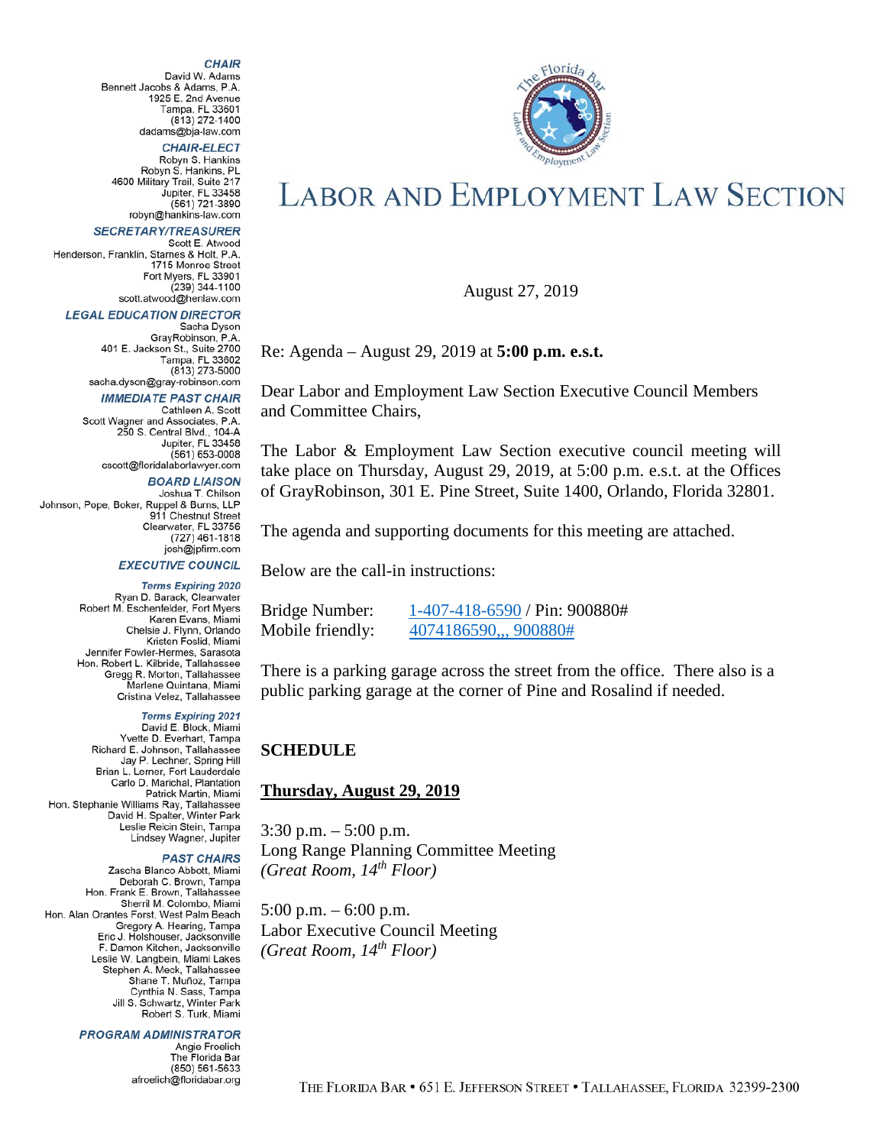#### **CHAIR**

David W. Adams Bennett Jacobs & Adams, P.A. 1925 E. 2nd Avenue Tampa, FL 33601<br>(813) 272-1400 dadams@bia-law.com

**CHAIR-ELECT** 

Robyn S. Hankins Robyn S. Hankins, PL 4600 Military Trail, Suite 217 Jupiter, FL 33458  $(561) 721-3890$ robyn@hankins-law.com

#### **SECRETARY/TREASURER**

Scott E. Atwood Henderson, Franklin, Starnes & Holt, P.A. 1715 Monroe Street Fort Myers, FL 33901  $(239)$  344-1100 scott.atwood@henlaw.com

#### **LEGAL EDUCATION DIRECTOR**

Sacha Dyson GrayRobinson, P.A. 401 E. Jackson St., Suite 2700 Tampa, FL 33602  $(813)$  273-5000 sacha.dyson@gray-robinson.com

#### **IMMEDIATE PAST CHAIR**

Cathleen A. Scott Scott Wagner and Associates, P.A. 250 S. Central Blvd., 104-A Jupiter, FL 33458  $(561) 653-0008$ cscott@floridalaborlawyer.com

**BOARD LIAISON** 

Joshua T. Chilson Johnson, Pope, Boker, Ruppel & Burns, LLP 911 Chestnut Street Clearwater, FL 33756 (727) 461-1818 josh@jpfirm.com

#### **EXECUTIVE COUNCIL**

**Terms Expiring 2020** Ryan D. Barack, Clearwater Robert M. Eschenfelder, Fort Myers Karen Evans, Miami Chelsie J. Flynn, Orlando Kristen Foslid, Miami Jennifer Fowler-Hermes, Sarasota Hon. Robert L. Kilbride, Tallahassee Gregg R. Morton, Tallahassee Marlene Quintana, Miami Cristina Velez, Tallahassee

**Terms Expiring 2021** David E. Block, Miami<br>Yvette D. Everhart, Tampa Richard E. Johnson, Tallahassee Jay P. Lechner, Spring Hill Brian L. Lerner, Fort Lauderdale Carlo D. Marichal, Plantation Patrick Martin, Miami radick Maturi, Milaini<br>Hon. Stephanie Williams Ray, Tallahassee<br>David H. Spalter, Winter Park Leslie Reicin Stein, Tampa Lindsey Wagner, Jupiter

#### **PAST CHAIRS**

Zascha Blanco Abbott, Miami Deborah C. Brown, Tampa Hon. Frank E. Brown, Tallahassee Sherril M. Colombo, Miami Hon. Alan Orantes Forst, West Palm Beach Gregory A. Hearing, Tampa Eric J. Holshouser, Jacksonville F. Damon Kitchen, Jacksonville Leslie W. Langbein, Miami Lakes Stephen A. Meck, Tallahassee Shane T. Muñoz, Tampa Cynthia N. Sass, Tampa Jill S. Schwartz, Winter Park<br>Robert S. Turk, Miami

#### **PROGRAM ADMINISTRATOR**

Angie Froelich The Florida Bar (850) 561-5633 afroelich@floridabar.org



# **LABOR AND EMPLOYMENT LAW SECTION**

August 27, 2019

Re: Agenda – August 29, 2019 at **5:00 p.m. e.s.t.**

Dear Labor and Employment Law Section Executive Council Members and Committee Chairs,

The Labor & Employment Law Section executive council meeting will take place on Thursday, August 29, 2019, at 5:00 p.m. e.s.t. at the Offices of GrayRobinson, 301 E. Pine Street, Suite 1400, Orlando, Florida 32801.

The agenda and supporting documents for this meeting are attached.

Below are the call-in instructions:

| Bridge Number:   | $1-407-418-6590$ / Pin: 900880# |
|------------------|---------------------------------|
| Mobile friendly: | 4074186590,,,900880#            |

There is a parking garage across the street from the office. There also is a public parking garage at the corner of Pine and Rosalind if needed.

#### **SCHEDULE**

#### **Thursday, August 29, 2019**

 $3:30$  p.m.  $-5:00$  p.m. Long Range Planning Committee Meeting *(Great Room, 14th Floor)*

5:00 p.m. – 6:00 p.m. Labor Executive Council Meeting *(Great Room, 14th Floor)*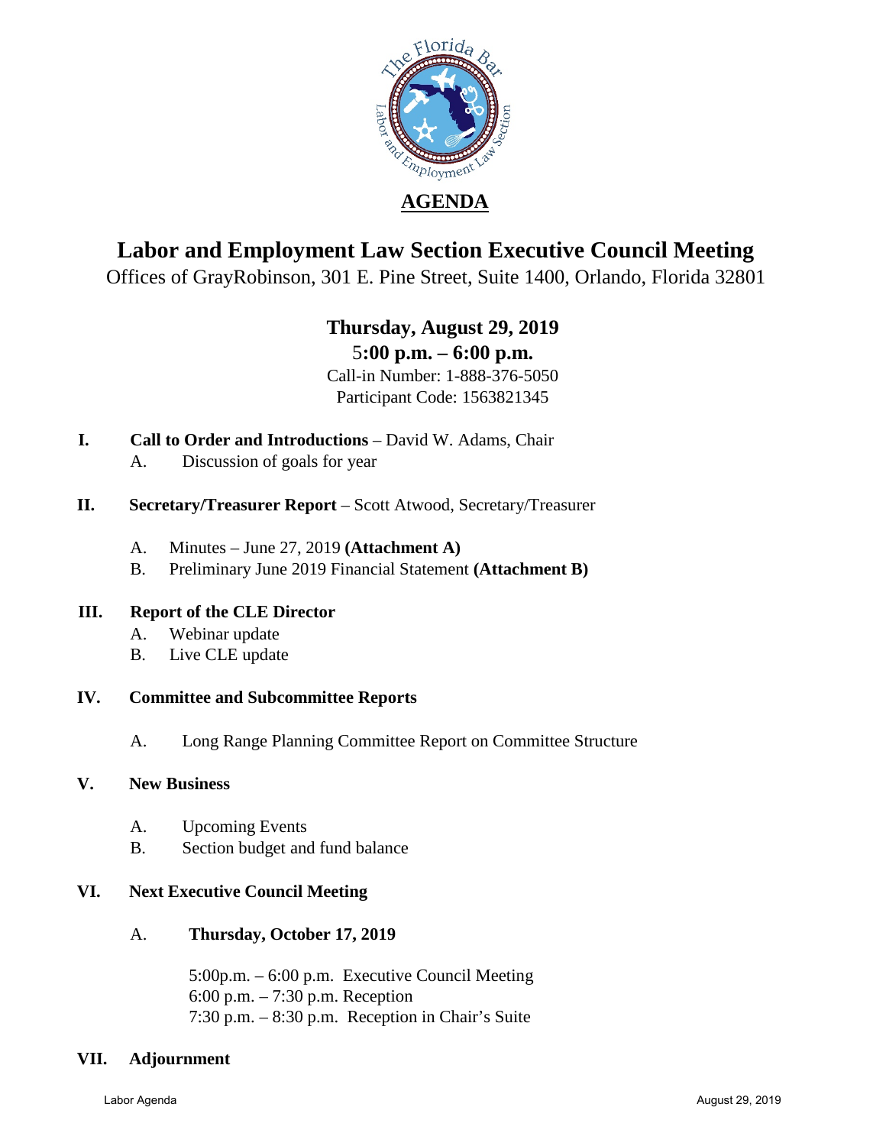

## **Labor and Employment Law Section Executive Council Meeting**

Offices of GrayRobinson, 301 E. Pine Street, Suite 1400, Orlando, Florida 32801

## **Thursday, August 29, 2019** 5**:00 p.m. – 6:00 p.m.**

Call-in Number: 1-888-376-5050 Participant Code: 1563821345

- **I. Call to Order and Introductions** David W. Adams, Chair
	- A. Discussion of goals for year
- **II.** Secretary/Treasurer Report Scott Atwood, Secretary/Treasurer
	- A. Minutes June 27, 2019 **(Attachment A)**
	- B. Preliminary June 2019 Financial Statement **(Attachment B)**

## **III. Report of the CLE Director**

- A. Webinar update
- B. Live CLE update

## **IV. Committee and Subcommittee Reports**

A. Long Range Planning Committee Report on Committee Structure

## **V. New Business**

- A. Upcoming Events
- B. Section budget and fund balance

## **VI. Next Executive Council Meeting**

A. **Thursday, October 17, 2019**

5:00p.m. – 6:00 p.m. Executive Council Meeting 6:00 p.m. – 7:30 p.m. Reception 7:30 p.m. – 8:30 p.m. Reception in Chair's Suite

## **VII. Adjournment**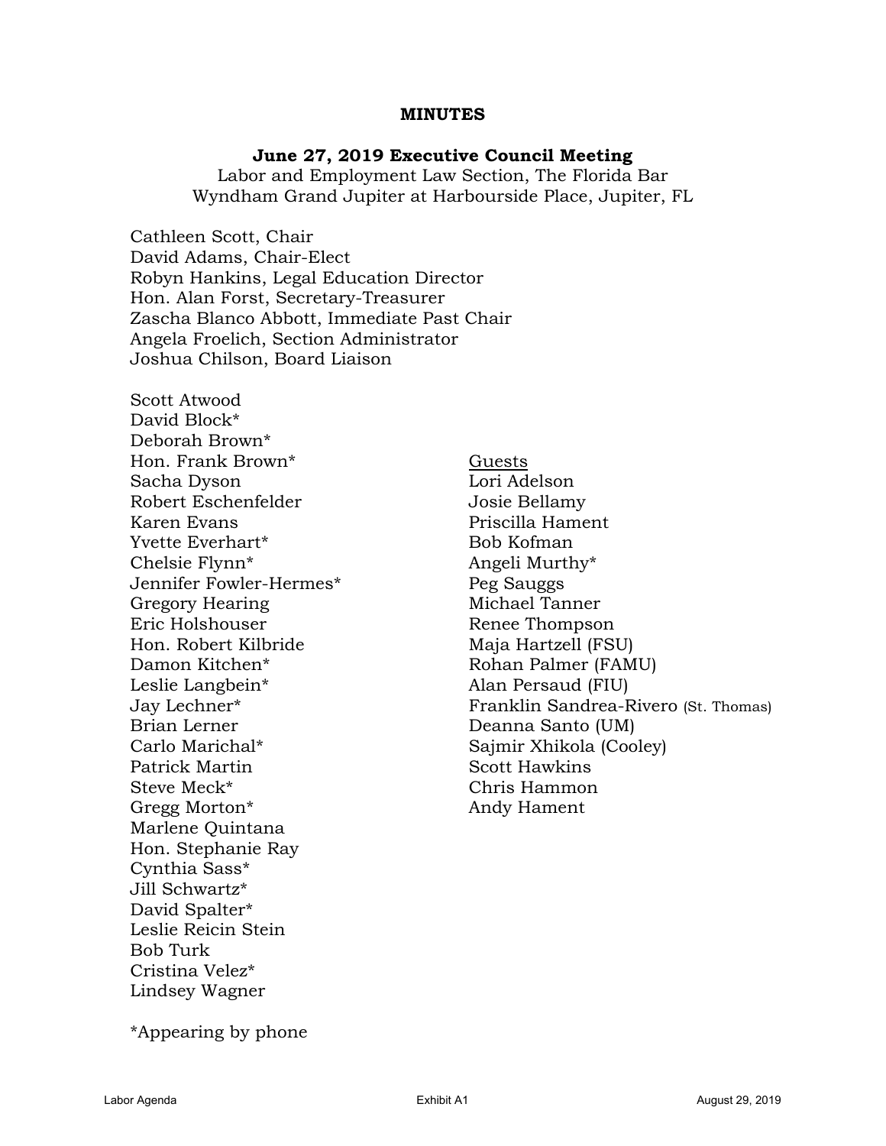#### **MINUTES**

#### **June 27, 2019 Executive Council Meeting**

Labor and Employment Law Section, The Florida Bar Wyndham Grand Jupiter at Harbourside Place, Jupiter, FL

Cathleen Scott, Chair David Adams, Chair-Elect Robyn Hankins, Legal Education Director Hon. Alan Forst, Secretary-Treasurer Zascha Blanco Abbott, Immediate Past Chair Angela Froelich, Section Administrator Joshua Chilson, Board Liaison

Scott Atwood David Block\* Deborah Brown\* Hon. Frank Brown<sup>\*</sup> Guests Sacha Dyson Lori Adelson Robert Eschenfelder **Grauber** Josie Bellamy Karen Evans **Example 19 Example 19 Example 2018** Priscilla Hament Yvette Everhart\* Bob Kofman Chelsie Flynn<sup>\*</sup> Angeli Murthy<sup>\*</sup> Jennifer Fowler-Hermes\* Peg Sauggs Gregory Hearing Michael Tanner Eric Holshouser **Renee Thompson** Hon. Robert Kilbride Maja Hartzell (FSU) Damon Kitchen\* Rohan Palmer (FAMU) Leslie Langbein\* Alan Persaud (FIU) Brian Lerner Deanna Santo (UM) Carlo Marichal\* Sajmir Xhikola (Cooley) Patrick Martin Scott Hawkins Steve Meck\* Chris Hammon Gregg Morton\* Andy Hament Marlene Quintana Hon. Stephanie Ray Cynthia Sass\* Jill Schwartz\* David Spalter\* Leslie Reicin Stein Bob Turk Cristina Velez\* Lindsey Wagner

Jay Lechner\* Franklin Sandrea-Rivero (St. Thomas)

\*Appearing by phone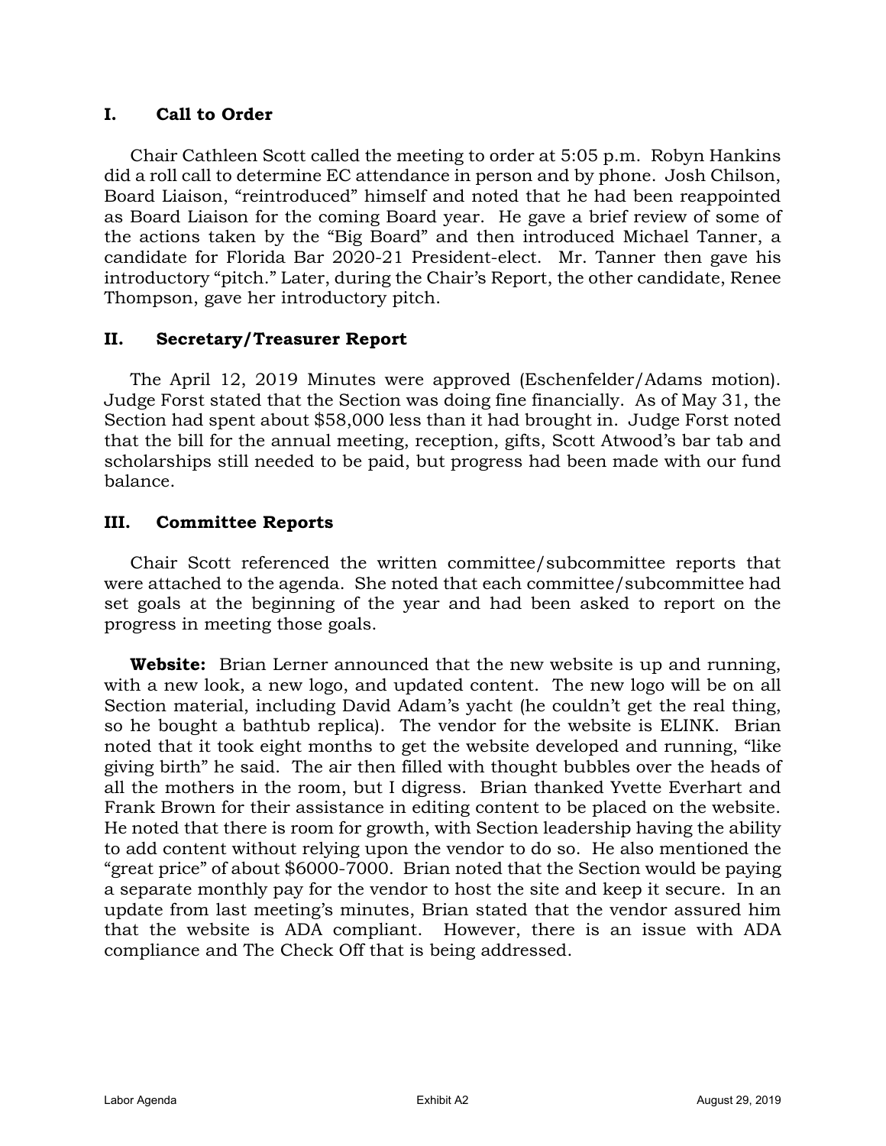## **I. Call to Order**

Chair Cathleen Scott called the meeting to order at 5:05 p.m. Robyn Hankins did a roll call to determine EC attendance in person and by phone. Josh Chilson, Board Liaison, "reintroduced" himself and noted that he had been reappointed as Board Liaison for the coming Board year. He gave a brief review of some of the actions taken by the "Big Board" and then introduced Michael Tanner, a candidate for Florida Bar 2020-21 President-elect. Mr. Tanner then gave his introductory "pitch." Later, during the Chair's Report, the other candidate, Renee Thompson, gave her introductory pitch.

## **II. Secretary/Treasurer Report**

The April 12, 2019 Minutes were approved (Eschenfelder/Adams motion). Judge Forst stated that the Section was doing fine financially. As of May 31, the Section had spent about \$58,000 less than it had brought in. Judge Forst noted that the bill for the annual meeting, reception, gifts, Scott Atwood's bar tab and scholarships still needed to be paid, but progress had been made with our fund balance.

## **III. Committee Reports**

Chair Scott referenced the written committee/subcommittee reports that were attached to the agenda. She noted that each committee/subcommittee had set goals at the beginning of the year and had been asked to report on the progress in meeting those goals.

**Website:** Brian Lerner announced that the new website is up and running, with a new look, a new logo, and updated content. The new logo will be on all Section material, including David Adam's yacht (he couldn't get the real thing, so he bought a bathtub replica). The vendor for the website is ELINK. Brian noted that it took eight months to get the website developed and running, "like giving birth" he said. The air then filled with thought bubbles over the heads of all the mothers in the room, but I digress. Brian thanked Yvette Everhart and Frank Brown for their assistance in editing content to be placed on the website. He noted that there is room for growth, with Section leadership having the ability to add content without relying upon the vendor to do so. He also mentioned the "great price" of about \$6000-7000. Brian noted that the Section would be paying a separate monthly pay for the vendor to host the site and keep it secure. In an update from last meeting's minutes, Brian stated that the vendor assured him that the website is ADA compliant. However, there is an issue with ADA compliance and The Check Off that is being addressed.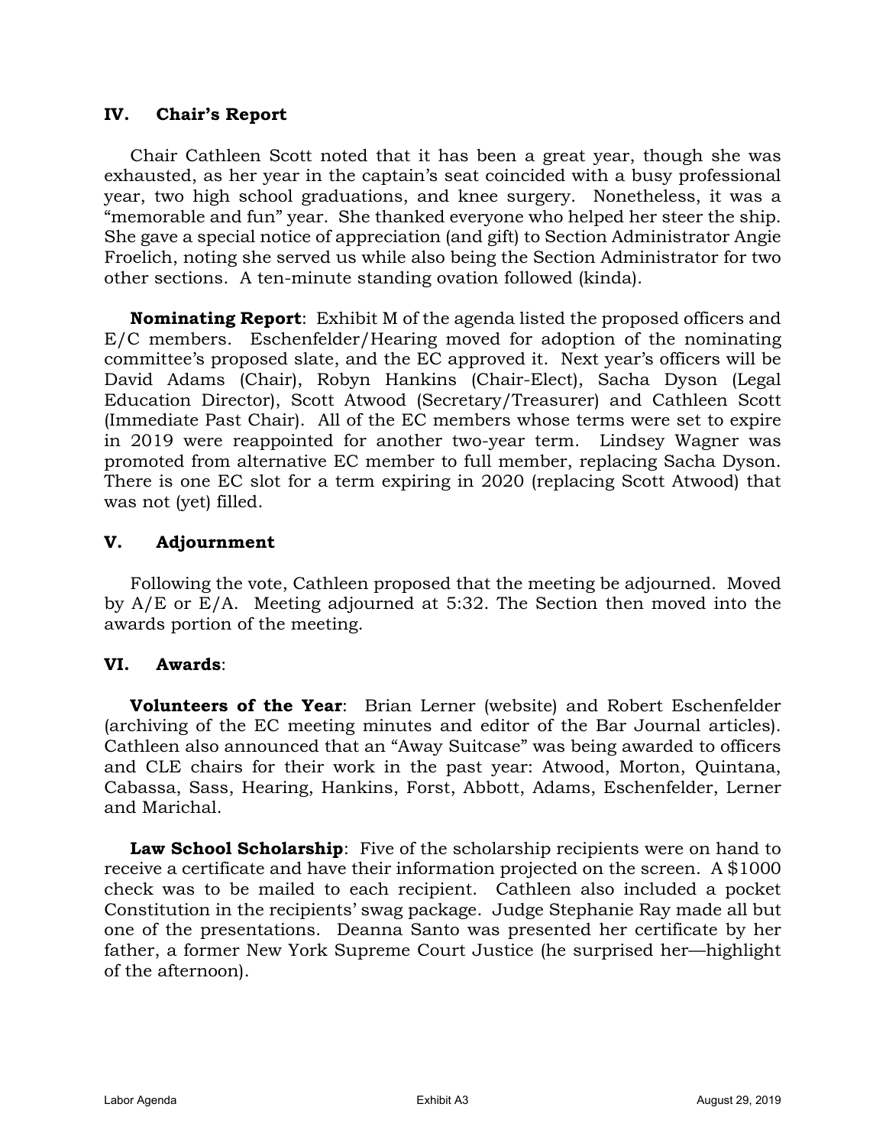#### **IV. Chair's Report**

Chair Cathleen Scott noted that it has been a great year, though she was exhausted, as her year in the captain's seat coincided with a busy professional year, two high school graduations, and knee surgery. Nonetheless, it was a "memorable and fun" year. She thanked everyone who helped her steer the ship. She gave a special notice of appreciation (and gift) to Section Administrator Angie Froelich, noting she served us while also being the Section Administrator for two other sections. A ten-minute standing ovation followed (kinda).

**Nominating Report**: Exhibit M of the agenda listed the proposed officers and E/C members. Eschenfelder/Hearing moved for adoption of the nominating committee's proposed slate, and the EC approved it. Next year's officers will be David Adams (Chair), Robyn Hankins (Chair-Elect), Sacha Dyson (Legal Education Director), Scott Atwood (Secretary/Treasurer) and Cathleen Scott (Immediate Past Chair). All of the EC members whose terms were set to expire in 2019 were reappointed for another two-year term. Lindsey Wagner was promoted from alternative EC member to full member, replacing Sacha Dyson. There is one EC slot for a term expiring in 2020 (replacing Scott Atwood) that was not (yet) filled.

#### **V. Adjournment**

Following the vote, Cathleen proposed that the meeting be adjourned. Moved by A/E or E/A. Meeting adjourned at 5:32. The Section then moved into the awards portion of the meeting.

## **VI. Awards**:

**Volunteers of the Year**: Brian Lerner (website) and Robert Eschenfelder (archiving of the EC meeting minutes and editor of the Bar Journal articles). Cathleen also announced that an "Away Suitcase" was being awarded to officers and CLE chairs for their work in the past year: Atwood, Morton, Quintana, Cabassa, Sass, Hearing, Hankins, Forst, Abbott, Adams, Eschenfelder, Lerner and Marichal.

**Law School Scholarship**: Five of the scholarship recipients were on hand to receive a certificate and have their information projected on the screen. A \$1000 check was to be mailed to each recipient. Cathleen also included a pocket Constitution in the recipients' swag package. Judge Stephanie Ray made all but one of the presentations. Deanna Santo was presented her certificate by her father, a former New York Supreme Court Justice (he surprised her—highlight of the afternoon).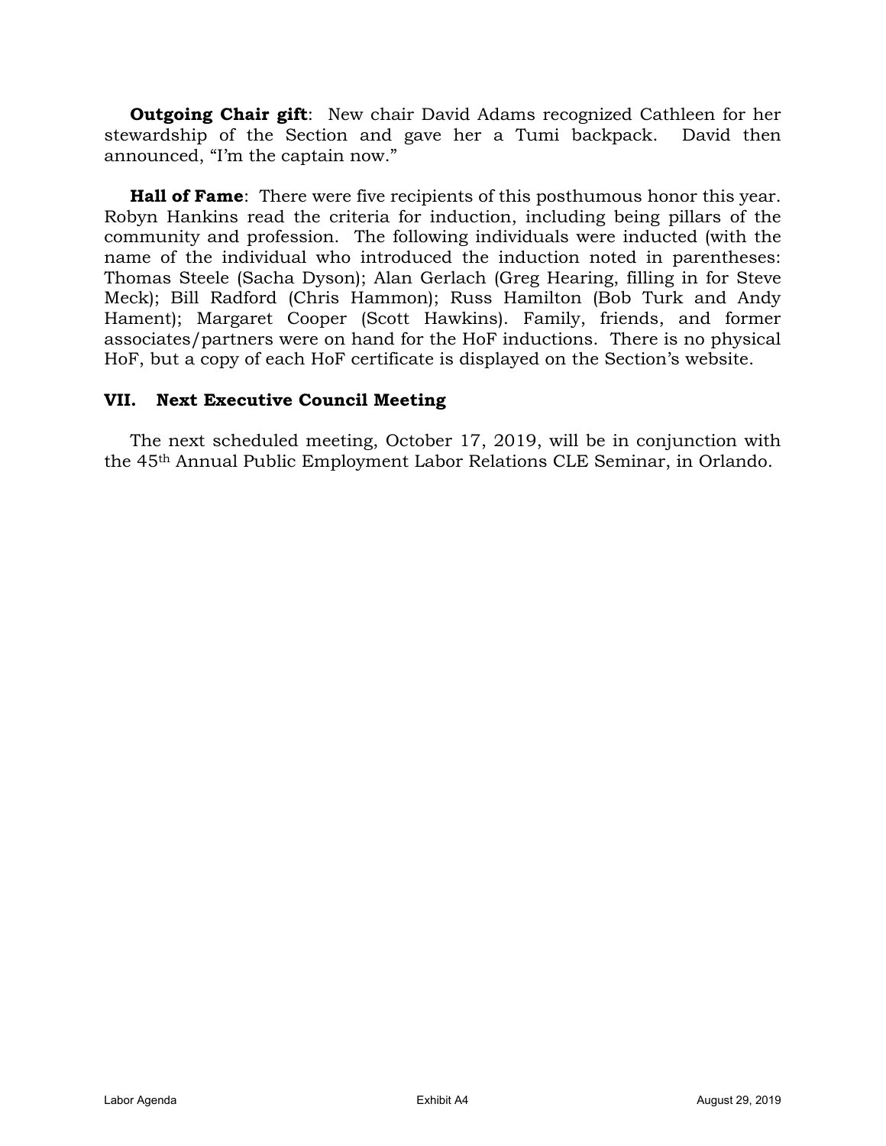**Outgoing Chair gift**: New chair David Adams recognized Cathleen for her stewardship of the Section and gave her a Tumi backpack. David then announced, "I'm the captain now."

**Hall of Fame**: There were five recipients of this posthumous honor this year. Robyn Hankins read the criteria for induction, including being pillars of the community and profession. The following individuals were inducted (with the name of the individual who introduced the induction noted in parentheses: Thomas Steele (Sacha Dyson); Alan Gerlach (Greg Hearing, filling in for Steve Meck); Bill Radford (Chris Hammon); Russ Hamilton (Bob Turk and Andy Hament); Margaret Cooper (Scott Hawkins). Family, friends, and former associates/partners were on hand for the HoF inductions. There is no physical HoF, but a copy of each HoF certificate is displayed on the Section's website.

#### **VII. Next Executive Council Meeting**

The next scheduled meeting, October 17, 2019, will be in conjunction with the 45th Annual Public Employment Labor Relations CLE Seminar, in Orlando.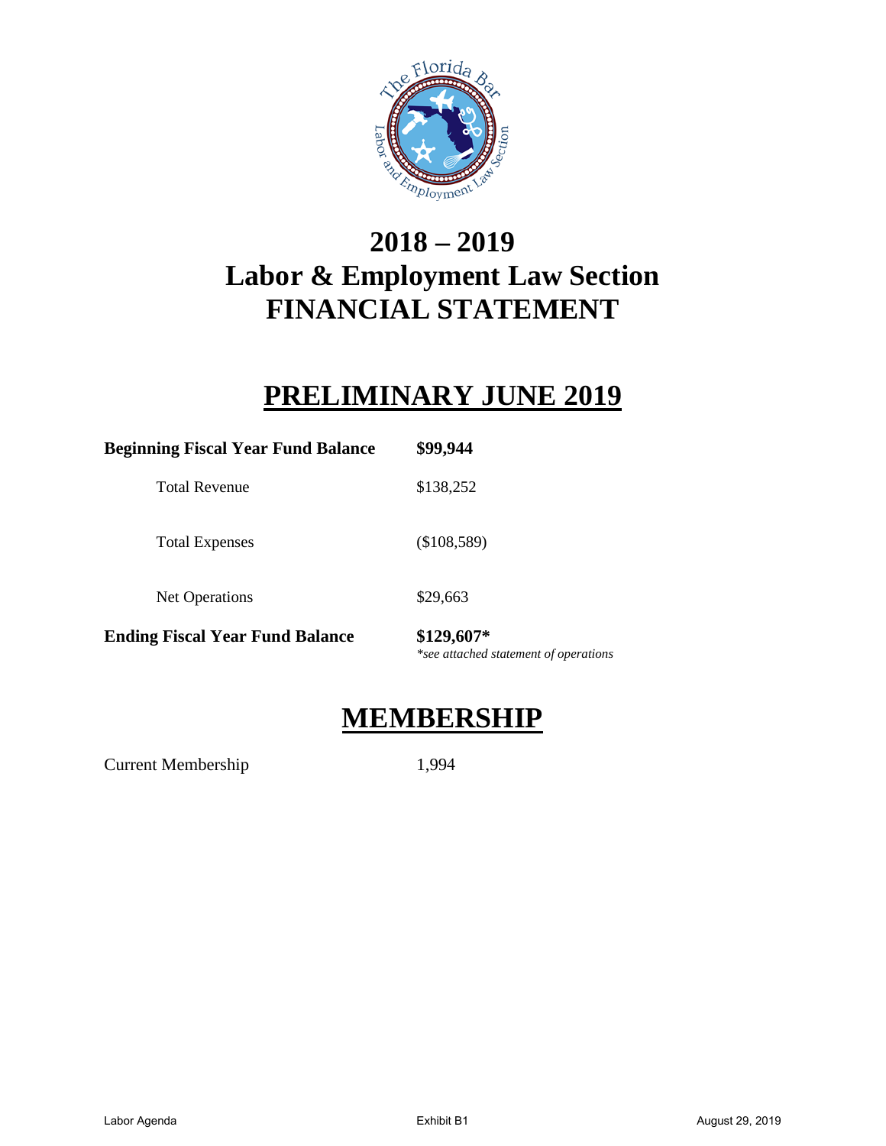

# **2018 – 2019 Labor & Employment Law Section FINANCIAL STATEMENT**

## **PRELIMINARY JUNE 2019**

| <b>Beginning Fiscal Year Fund Balance</b> | \$99,944                                            |  |  |  |
|-------------------------------------------|-----------------------------------------------------|--|--|--|
| <b>Total Revenue</b>                      | \$138,252                                           |  |  |  |
| <b>Total Expenses</b>                     | (\$108,589)                                         |  |  |  |
| Net Operations                            | \$29,663                                            |  |  |  |
| <b>Ending Fiscal Year Fund Balance</b>    | \$129,607*<br>*see attached statement of operations |  |  |  |

## **MEMBERSHIP**

Current Membership 1,994